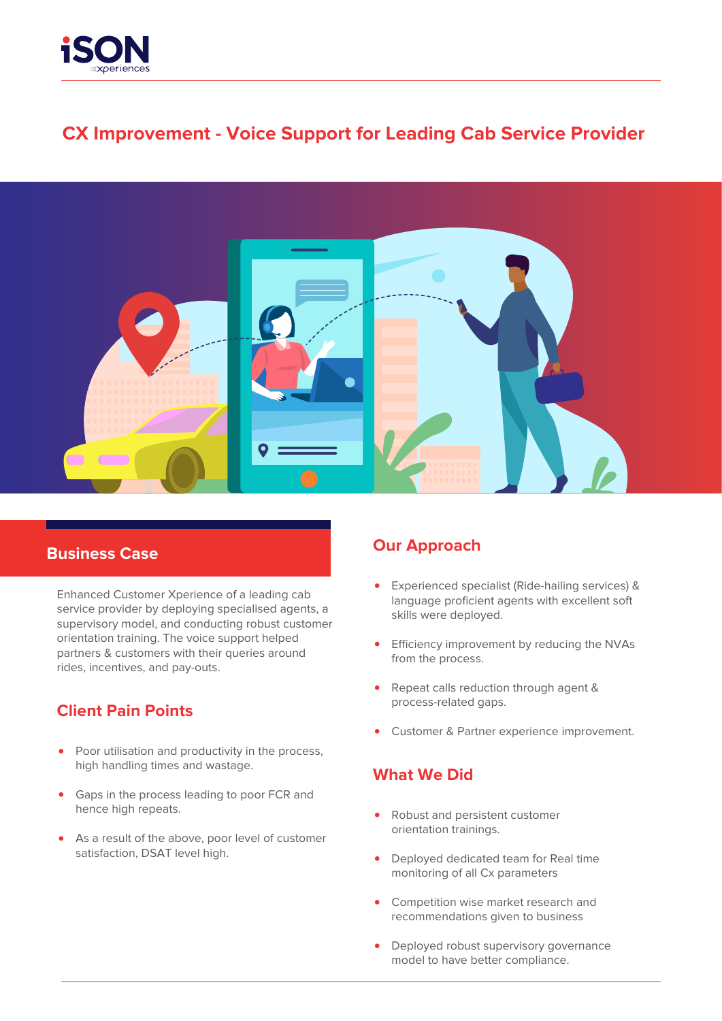

# **CX Improvement - Voice Support for Leading Cab Service Provider**



#### **Business Case**

Enhanced Customer Xperience of a leading cab service provider by deploying specialised agents, a supervisory model, and conducting robust customer orientation training. The voice support helped partners & customers with their queries around rides, incentives, and pay-outs.

# **Client Pain Points**

- Poor utilisation and productivity in the process, high handling times and wastage.
- Gaps in the process leading to poor FCR and hence high repeats.
- As a result of the above, poor level of customer satisfaction, DSAT level high.

# **Our Approach**

- Experienced specialist (Ride-hailing services) &  $\bullet$ language proficient agents with excellent soft skills were deployed.
- **•** Efficiency improvement by reducing the NVAs from the process.
- Repeat calls reduction through agent & process-related gaps.
- Customer & Partner experience improvement.

### **What We Did**

- Robust and persistent customer orientation trainings.
- Deployed dedicated team for Real time  $\bullet$ monitoring of all Cx parameters
- **•** Competition wise market research and recommendations given to business
- Deployed robust supervisory governance model to have better compliance.